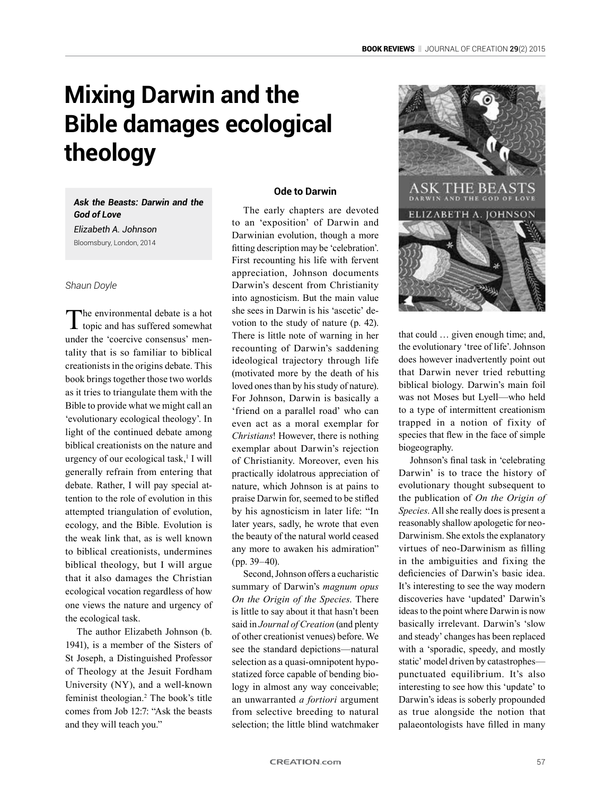# **Mixing Darwin and the Bible damages ecological theology**

*Ask the Beasts: Darwin and the God of Love*

*Elizabeth A. Johnson* Bloomsbury, London, 2014

#### *Shaun Doyle*

The environmental debate is a hot topic and has suffered somewhat under the 'coercive consensus' mentality that is so familiar to biblical creationists in the origins debate. This book brings together those two worlds as it tries to triangulate them with the Bible to provide what we might call an 'evolutionary ecological theology'. In light of the continued debate among biblical creationists on the nature and urgency of our ecological task,<sup>1</sup> I will generally refrain from entering that debate. Rather, I will pay special attention to the role of evolution in this attempted triangulation of evolution, ecology, and the Bible. Evolution is the weak link that, as is well known to biblical creationists, undermines biblical theology, but I will argue that it also damages the Christian ecological vocation regardless of how one views the nature and urgency of the ecological task.

The author Elizabeth Johnson (b. 1941), is a member of the Sisters of St Joseph, a Distinguished Professor of Theology at the Jesuit Fordham University (NY), and a well-known feminist theologian.<sup>2</sup> The book's title comes from Job 12:7: "Ask the beasts and they will teach you."

# **Ode to Darwin**

The early chapters are devoted to an 'exposition' of Darwin and Darwinian evolution, though a more fitting description may be 'celebration'. First recounting his life with fervent appreciation, Johnson documents Darwin's descent from Christianity into agnosticism. But the main value she sees in Darwin is his 'ascetic' devotion to the study of nature (p. 42). There is little note of warning in her recounting of Darwin's saddening ideological trajectory through life (motivated more by the death of his loved ones than by his study of nature). For Johnson, Darwin is basically a 'friend on a parallel road' who can even act as a moral exemplar for *Christians*! However, there is nothing exemplar about Darwin's rejection of Christianity. Moreover, even his practically idolatrous appreciation of nature, which Johnson is at pains to praise Darwin for, seemed to be stifled by his agnosticism in later life: "In later years, sadly, he wrote that even the beauty of the natural world ceased any more to awaken his admiration" (pp. 39–40).

Second, Johnson offers a eucharistic summary of Darwin's *magnum opus On the Origin of the Species*. There is little to say about it that hasn't been said in *Journal of Creation* (and plenty of other creationist venues) before. We see the standard depictions—natural selection as a quasi-omnipotent hypostatized force capable of bending biology in almost any way conceivable; an unwarranted *a fortiori* argument from selective breeding to natural selection; the little blind watchmaker



that could … given enough time; and, the evolutionary 'tree of life'. Johnson does however inadvertently point out that Darwin never tried rebutting biblical biology. Darwin's main foil was not Moses but Lyell—who held to a type of intermittent creationism trapped in a notion of fixity of species that flew in the face of simple biogeography.

Johnson's final task in 'celebrating Darwin' is to trace the history of evolutionary thought subsequent to the publication of *On the Origin of Species*. All she really does is present a reasonably shallow apologetic for neo-Darwinism. She extols the explanatory virtues of neo-Darwinism as filling in the ambiguities and fixing the deficiencies of Darwin's basic idea. It's interesting to see the way modern discoveries have 'updated' Darwin's ideas to the point where Darwin is now basically irrelevant. Darwin's 'slow and steady' changes has been replaced with a 'sporadic, speedy, and mostly static' model driven by catastrophes punctuated equilibrium. It's also interesting to see how this 'update' to Darwin's ideas is soberly propounded as true alongside the notion that palaeontologists have filled in many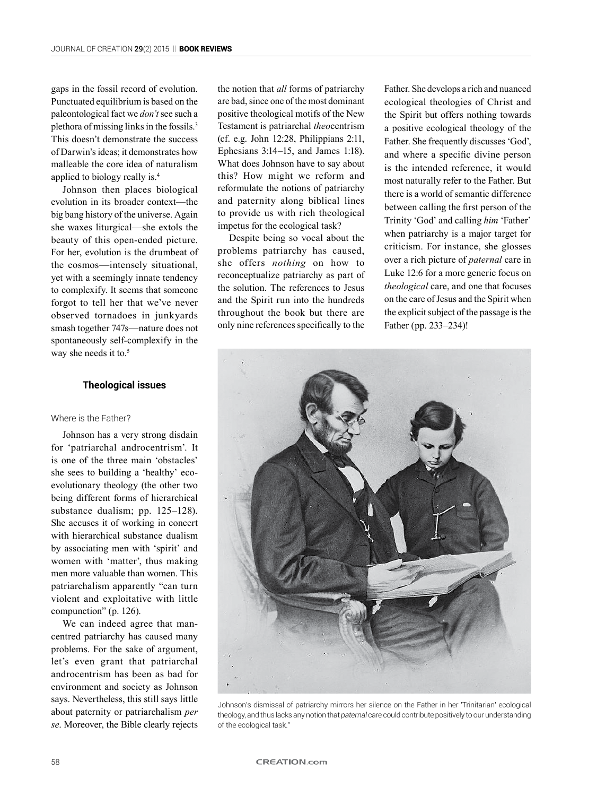gaps in the fossil record of evolution. Punctuated equilibrium is based on the paleontological fact we *don't* see such a plethora of missing links in the fossils.3 This doesn't demonstrate the success of Darwin's ideas; it demonstrates how malleable the core idea of naturalism applied to biology really is.4

Johnson then places biological evolution in its broader context—the big bang history of the universe. Again she waxes liturgical—she extols the beauty of this open-ended picture. For her, evolution is the drumbeat of the cosmos—intensely situational, yet with a seemingly innate tendency to complexify. It seems that someone forgot to tell her that we've never observed tornadoes in junkyards smash together 747s—nature does not spontaneously self-complexify in the way she needs it to.<sup>5</sup>

## **Theological issues**

## Where is the Father?

Johnson has a very strong disdain for 'patriarchal androcentrism'. It is one of the three main 'obstacles' she sees to building a 'healthy' ecoevolutionary theology (the other two being different forms of hierarchical substance dualism; pp. 125–128). She accuses it of working in concert with hierarchical substance dualism by associating men with 'spirit' and women with 'matter', thus making men more valuable than women. This patriarchalism apparently "can turn violent and exploitative with little compunction" (p. 126).

We can indeed agree that mancentred patriarchy has caused many problems. For the sake of argument, let's even grant that patriarchal androcentrism has been as bad for environment and society as Johnson says. Nevertheless, this still says little about paternity or patriarchalism *per se*. Moreover, the Bible clearly rejects

the notion that *all* forms of patriarchy are bad, since one of the most dominant positive theological motifs of the New Testament is patriarchal *theo*centrism (cf. e.g. John 12:28, Philippians 2:11, Ephesians 3:14–15, and James 1:18). What does Johnson have to say about this? How might we reform and reformulate the notions of patriarchy and paternity along biblical lines to provide us with rich theological impetus for the ecological task?

Despite being so vocal about the problems patriarchy has caused, she offers *nothing* on how to reconceptualize patriarchy as part of the solution. The references to Jesus and the Spirit run into the hundreds throughout the book but there are only nine references specifically to the Father. She develops a rich and nuanced ecological theologies of Christ and the Spirit but offers nothing towards a positive ecological theology of the Father. She frequently discusses 'God', and where a specific divine person is the intended reference, it would most naturally refer to the Father. But there is a world of semantic difference between calling the first person of the Trinity 'God' and calling *him* 'Father' when patriarchy is a major target for criticism. For instance, she glosses over a rich picture of *paternal* care in Luke 12:6 for a more generic focus on *theological* care, and one that focuses on the care of Jesus and the Spirit when the explicit subject of the passage is the Father (pp. 233–234)!



Johnson's dismissal of patriarchy mirrors her silence on the Father in her 'Trinitarian' ecological theology, and thus lacks any notion that *paternal* care could contribute positively to our understanding of the ecological task."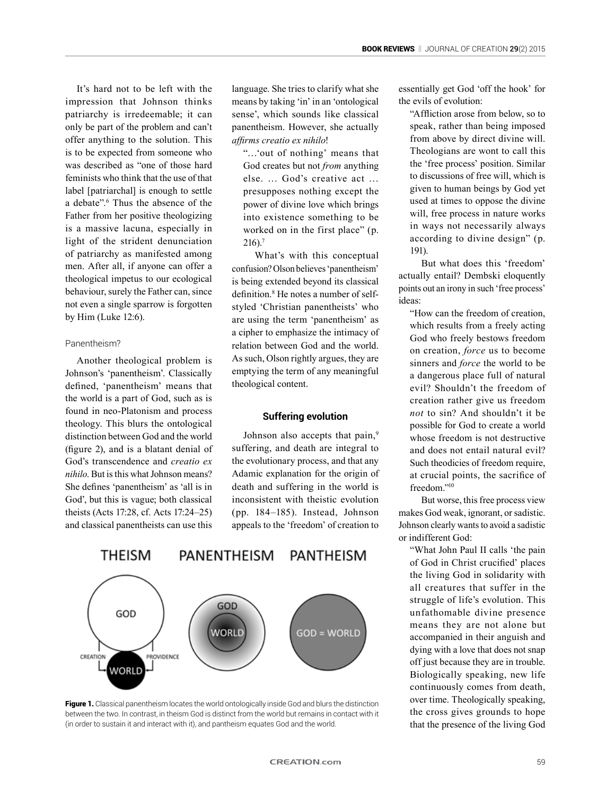It's hard not to be left with the impression that Johnson thinks patriarchy is irredeemable; it can only be part of the problem and can't offer anything to the solution. This is to be expected from someone who was described as "one of those hard feminists who think that the use of that label [patriarchal] is enough to settle a debate".6 Thus the absence of the Father from her positive theologizing is a massive lacuna, especially in light of the strident denunciation of patriarchy as manifested among men. After all, if anyone can offer a theological impetus to our ecological behaviour, surely the Father can, since not even a single sparrow is forgotten by Him (Luke 12:6).

#### Panentheism?

Another theological problem is Johnson's 'panentheism'. Classically defined, 'panentheism' means that the world is a part of God, such as is found in neo-Platonism and process theology. This blurs the ontological distinction between God and the world (figure 2), and is a blatant denial of God's transcendence and *creatio ex nihilo*. But is this what Johnson means? She defines 'panentheism' as 'all is in God', but this is vague; both classical theists (Acts 17:28, cf. Acts 17:24–25) and classical panentheists can use this language. She tries to clarify what she means by taking 'in' in an 'ontological sense', which sounds like classical panentheism. However, she actually *affirms creatio ex nihilo*!

"…'out of nothing' means that God creates but not *from* anything else. … God's creative act … presupposes nothing except the power of divine love which brings into existence something to be worked on in the first place" (p. 216).7

What's with this conceptual confusion? Olson believes 'panentheism' is being extended beyond its classical definition.<sup>8</sup> He notes a number of selfstyled 'Christian panentheists' who are using the term 'panentheism' as a cipher to emphasize the intimacy of relation between God and the world. As such, Olson rightly argues, they are emptying the term of any meaningful theological content.

#### **Suffering evolution**

Johnson also accepts that pain,<sup>9</sup> suffering, and death are integral to the evolutionary process, and that any Adamic explanation for the origin of death and suffering in the world is inconsistent with theistic evolution (pp. 184–185). Instead, Johnson appeals to the 'freedom' of creation to





essentially get God 'off the hook' for the evils of evolution:

"Affliction arose from below, so to speak, rather than being imposed from above by direct divine will. Theologians are wont to call this the 'free process' position. Similar to discussions of free will, which is given to human beings by God yet used at times to oppose the divine will, free process in nature works in ways not necessarily always according to divine design" (p. 191).

But what does this 'freedom' actually entail? Dembski eloquently points out an irony in such 'free process' ideas:

"How can the freedom of creation, which results from a freely acting God who freely bestows freedom on creation, *force* us to become sinners and *force* the world to be a dangerous place full of natural evil? Shouldn't the freedom of creation rather give us freedom *not* to sin? And shouldn't it be possible for God to create a world whose freedom is not destructive and does not entail natural evil? Such theodicies of freedom require, at crucial points, the sacrifice of freedom."10

But worse, this free process view makes God weak, ignorant, or sadistic. Johnson clearly wants to avoid a sadistic or indifferent God:

"What John Paul II calls 'the pain of God in Christ crucified' places the living God in solidarity with all creatures that suffer in the struggle of life's evolution. This unfathomable divine presence means they are not alone but accompanied in their anguish and dying with a love that does not snap off just because they are in trouble. Biologically speaking, new life continuously comes from death, over time. Theologically speaking, the cross gives grounds to hope that the presence of the living God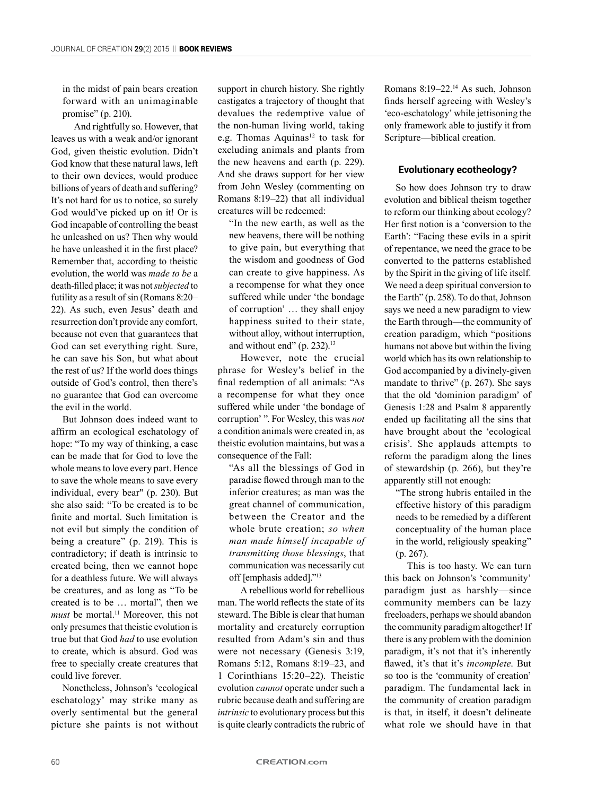in the midst of pain bears creation forward with an unimaginable promise" (p. 210).

And rightfully so. However, that leaves us with a weak and/or ignorant God, given theistic evolution. Didn't God know that these natural laws, left to their own devices, would produce billions of years of death and suffering? It's not hard for us to notice, so surely God would've picked up on it! Or is God incapable of controlling the beast he unleashed on us? Then why would he have unleashed it in the first place? Remember that, according to theistic evolution, the world was *made to be* a death-filled place; it was not *subjected* to futility as a result of sin (Romans 8:20– 22). As such, even Jesus' death and resurrection don't provide any comfort, because not even that guarantees that God can set everything right. Sure, he can save his Son, but what about the rest of us? If the world does things outside of God's control, then there's no guarantee that God can overcome the evil in the world.

But Johnson does indeed want to affirm an ecological eschatology of hope: "To my way of thinking, a case can be made that for God to love the whole means to love every part. Hence to save the whole means to save every individual, every bear" (p. 230). But she also said: "To be created is to be finite and mortal. Such limitation is not evil but simply the condition of being a creature" (p. 219). This is contradictory; if death is intrinsic to created being, then we cannot hope for a deathless future. We will always be creatures, and as long as "To be created is to be … mortal", then we *must* be mortal.<sup>11</sup> Moreover, this not only presumes that theistic evolution is true but that God *had* to use evolution to create, which is absurd. God was free to specially create creatures that could live forever.

Nonetheless, Johnson's 'ecological eschatology' may strike many as overly sentimental but the general picture she paints is not without

support in church history. She rightly castigates a trajectory of thought that devalues the redemptive value of the non-human living world, taking e.g. Thomas Aquinas<sup>12</sup> to task for excluding animals and plants from the new heavens and earth (p. 229). And she draws support for her view from John Wesley (commenting on Romans 8:19–22) that all individual creatures will be redeemed:

"In the new earth, as well as the new heavens, there will be nothing to give pain, but everything that the wisdom and goodness of God can create to give happiness. As a recompense for what they once suffered while under 'the bondage of corruption' … they shall enjoy happiness suited to their state, without alloy, without interruption, and without end" (p. 232).<sup>13</sup>

However, note the crucial phrase for Wesley's belief in the final redemption of all animals: "As a recompense for what they once suffered while under 'the bondage of corruption' ". For Wesley, this was *not* a condition animals were created in, as theistic evolution maintains, but was a consequence of the Fall:

"As all the blessings of God in paradise flowed through man to the inferior creatures; as man was the great channel of communication, between the Creator and the whole brute creation; *so when man made himself incapable of transmitting those blessings*, that communication was necessarily cut off [emphasis added]."13

A rebellious world for rebellious man. The world reflects the state of its steward. The Bible is clear that human mortality and creaturely corruption resulted from Adam's sin and thus were not necessary (Genesis 3:19, Romans 5:12, Romans 8:19–23, and 1 Corinthians 15:20–22). Theistic evolution *cannot* operate under such a rubric because death and suffering are *intrinsic* to evolutionary process but this is quite clearly contradicts the rubric of Romans 8:19–22.14 As such, Johnson finds herself agreeing with Wesley's 'eco-eschatology' while jettisoning the only framework able to justify it from Scripture—biblical creation.

#### **Evolutionary ecotheology?**

So how does Johnson try to draw evolution and biblical theism together to reform our thinking about ecology? Her first notion is a 'conversion to the Earth': "Facing these evils in a spirit of repentance, we need the grace to be converted to the patterns established by the Spirit in the giving of life itself. We need a deep spiritual conversion to the Earth" (p. 258). To do that, Johnson says we need a new paradigm to view the Earth through—the community of creation paradigm, which "positions humans not above but within the living world which has its own relationship to God accompanied by a divinely-given mandate to thrive" (p. 267). She says that the old 'dominion paradigm' of Genesis 1:28 and Psalm 8 apparently ended up facilitating all the sins that have brought about the 'ecological crisis'. She applauds attempts to reform the paradigm along the lines of stewardship (p. 266), but they're apparently still not enough:

"The strong hubris entailed in the effective history of this paradigm needs to be remedied by a different conceptuality of the human place in the world, religiously speaking" (p. 267).

This is too hasty. We can turn this back on Johnson's 'community' paradigm just as harshly—since community members can be lazy freeloaders, perhaps we should abandon the community paradigm altogether! If there is any problem with the dominion paradigm, it's not that it's inherently flawed, it's that it's *incomplete*. But so too is the 'community of creation' paradigm. The fundamental lack in the community of creation paradigm is that, in itself, it doesn't delineate what role we should have in that